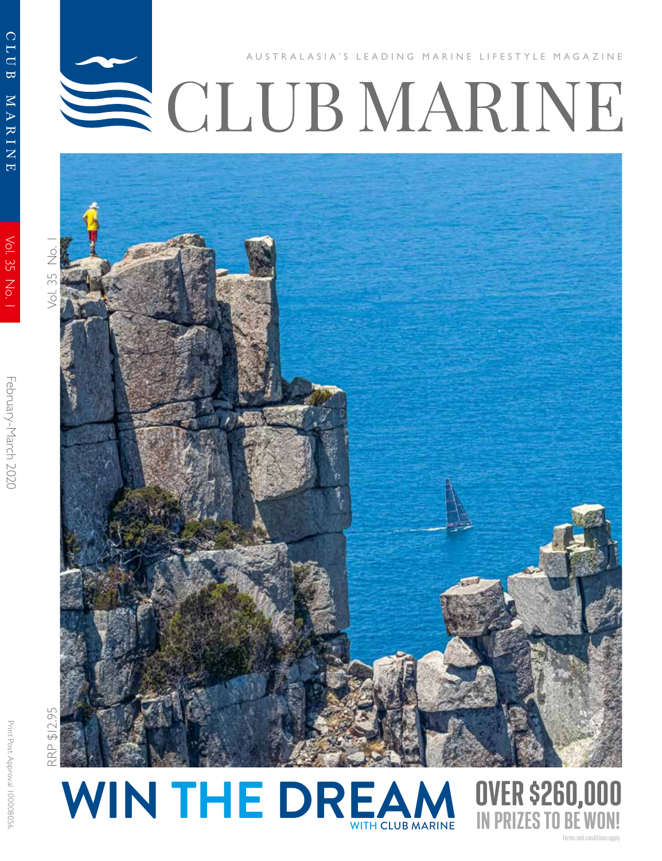## CLUB MARINE LIFESTYLE MAGAZINE



CLUB

NIHRN

 $\overline{E}$ 

Vol. 35 No.



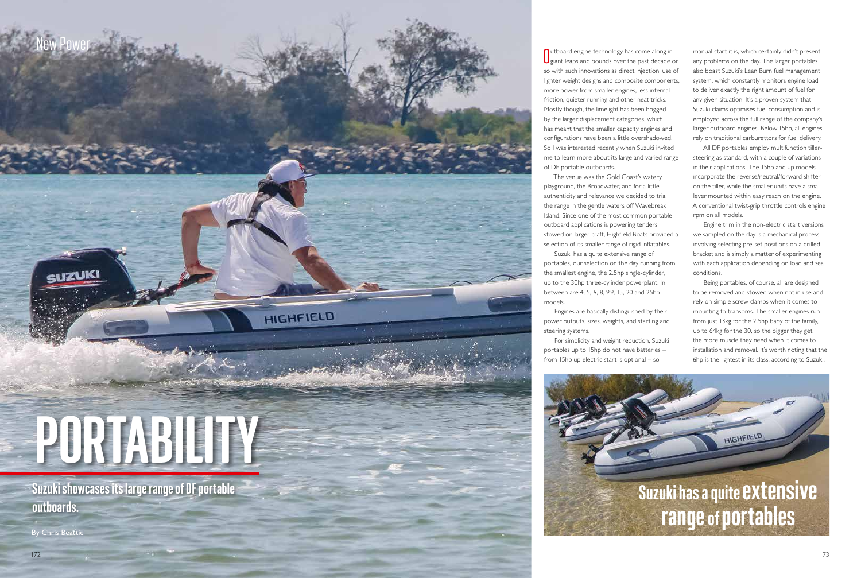Suzuki showcases its large range of DF portable outboards.

By Chris Beattie



**O**utboard engine technology has come along in<br> **O** giant leaps and bounds over the past decade of  $\bigcup$  giant leaps and bounds over the past decade or so with such innovations as direct injection, use of lighter weight designs and composite components, more power from smaller engines, less internal friction, quieter running and other neat tricks. Mostly though, the limelight has been hogged by the larger displacement categories, which has meant that the smaller capacity engines and configurations have been a little overshadowed. So I was interested recently when Suzuki invited me to learn more about its large and varied range of DF portable outboards.

The venue was the Gold Coast's watery playground, the Broadwater, and for a little authenticity and relevance we decided to trial the range in the gentle waters off Wavebreak Island. Since one of the most common portable outboard applications is powering tenders stowed on larger craft, Highfield Boats provided a selection of its smaller range of rigid inflatables. Suzuki has a quite extensive range of

portables, our selection on the day running from the smallest engine, the 2.5hp single-cylinder, up to the 30hp three-cylinder powerplant. In between are 4, 5, 6, 8, 9.9, 15, 20 and 25hp models.

Engines are basically distinguished by their power outputs, sizes, weights, and starting and steering systems.

For simplicity and weight reduction, Suzuki portables up to 15hp do not have batteries – from 15hp up electric start is optional – so



manual start it is, which certainly didn't present any problems on the day. The larger portables also boast Suzuki's Lean Burn fuel management system, which constantly monitors engine load to deliver exactly the right amount of fuel for any given situation. It's a proven system that Suzuki claims optimises fuel consumption and is employed across the full range of the company's larger outboard engines. Below 15hp, all engines rely on traditional carburettors for fuel delivery.

All DF portables employ multifunction tillersteering as standard, with a couple of variations in their applications. The 15hp and up models incorporate the reverse/neutral/forward shifter on the tiller, while the smaller units have a small lever mounted within easy reach on the engine. A conventional twist-grip throttle controls engine rpm on all models.

Engine trim in the non-electric start versions we sampled on the day is a mechanical process involving selecting pre-set positions on a drilled bracket and is simply a matter of experimenting with each application depending on load and sea conditions.

Being portables, of course, all are designed to be removed and stowed when not in use and rely on simple screw clamps when it comes to mounting to transoms. The smaller engines run from just 13kg for the 2.5hp baby of the family, up to 64kg for the 30, so the bigger they get the more muscle they need when it comes to installation and removal. It's worth noting that the 6hp is the lightest in its class, according to Suzuki.